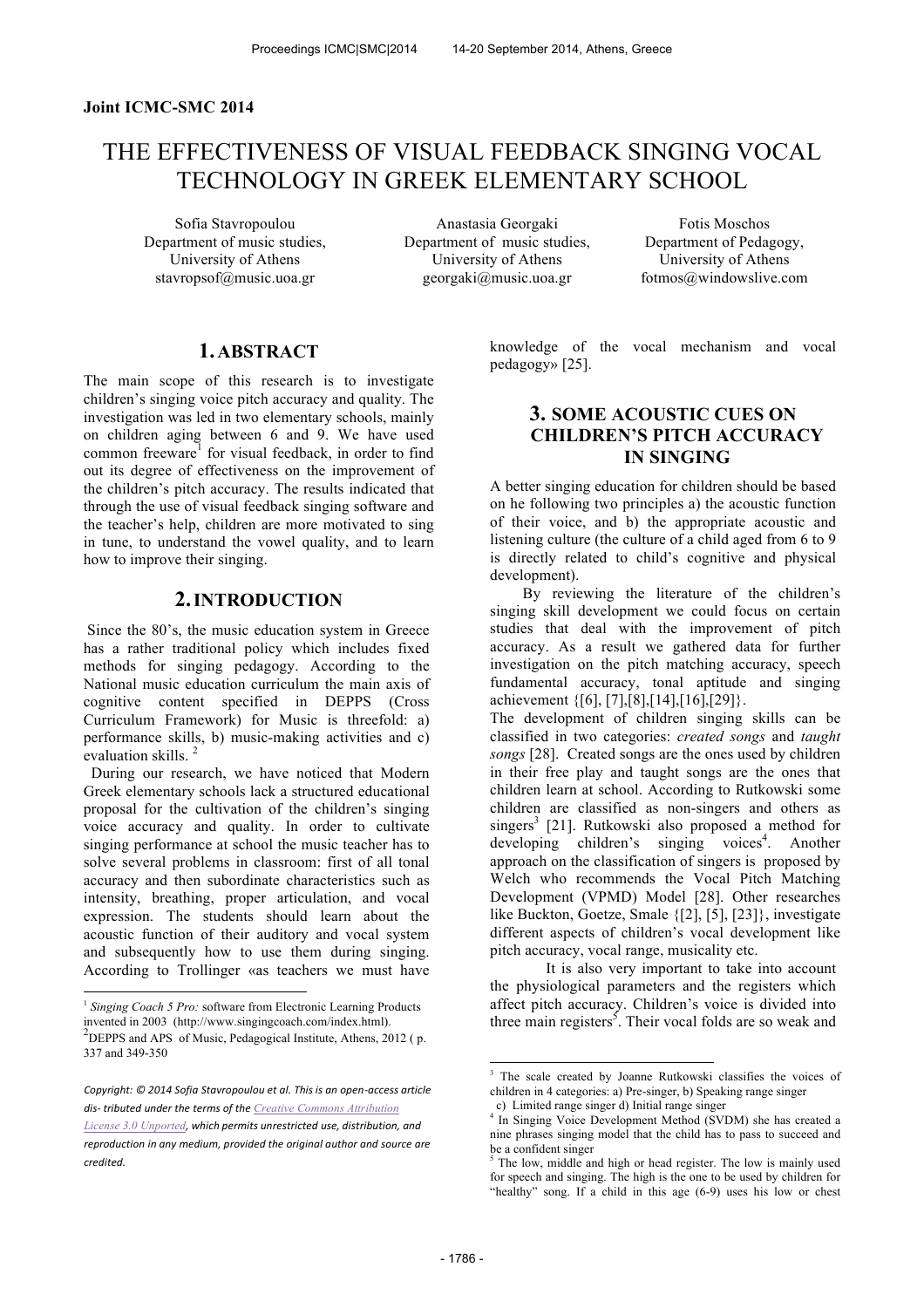#### **Joint ICMC-SMC 2014**

# THE EFFECTIVENESS OF VISUAL FEEDBACK SINGING VOCAL TECHNOLOGY IN GREEK ELEMENTARY SCHOOL

Department of music studies, University of Athens stavropsof@music.uoa.gr

Sofia Stavropoulou Anastasia Georgaki Fotis Moschos Department of music studies, University of Athens georgaki@music.uoa.gr

Department of Pedagogy, University of Athens fotmos@windowslive.com

# **1.ABSTRACT**

The main scope of this research is to investigate children's singing voice pitch accuracy and quality. The investigation was led in two elementary schools, mainly on children aging between 6 and 9. We have used common freeware<sup>1</sup> for visual feedback, in order to find out its degree of effectiveness on the improvement of the children's pitch accuracy. The results indicated that through the use of visual feedback singing software and the teacher's help, children are more motivated to sing in tune, to understand the vowel quality, and to learn how to improve their singing.

### **2.INTRODUCTION**

Since the 80's, the music education system in Greece has a rather traditional policy which includes fixed methods for singing pedagogy. According to the National music education curriculum the main axis of cognitive content specified in DEPPS (Cross Curriculum Framework) for Music is threefold: a) performance skills, b) music-making activities and c) evaluation skills.<sup>2</sup>

 During our research, we have noticed that Modern Greek elementary schools lack a structured educational proposal for the cultivation of the children's singing voice accuracy and quality. In order to cultivate singing performance at school the music teacher has to solve several problems in classroom: first of all tonal accuracy and then subordinate characteristics such as intensity, breathing, proper articulation, and vocal expression. The students should learn about the acoustic function of their auditory and vocal system and subsequently how to use them during singing. According tο Trollinger «as teachers we must have

 $\overline{a}$ 

knowledge of the vocal mechanism and vocal pedagogy» [25].

# **3. SOME ACOUSTIC CUES ON CHILDREN'S PITCH ACCURACY IN SINGING**

A better singing education for children should be based on he following two principles a) the acoustic function of their voice, and b) the appropriate acoustic and listening culture (the culture of a child aged from 6 to 9 is directly related to child's cognitive and physical development).

By reviewing the literature of the children's singing skill development we could focus on certain studies that deal with the improvement of pitch accuracy. As a result we gathered data for further investigation on the pitch matching accuracy, speech fundamental accuracy, tonal aptitude and singing achievement  $\{ [6], [7], [8], [14], [16], [29] \}.$ 

The development of children singing skills can be classified in two categories: *created songs* and *taught songs* [28]. Created songs are the ones used by children in their free play and taught songs are the ones that children learn at school. According to Rutkowski some children are classified as non-singers and others as singers<sup>3</sup> [21]. Rutkowski also proposed a method for developing children's singing voices<sup>4</sup>. Another approach on the classification of singers is proposed by Welch who recommends the Vocal Pitch Matching Development (VPMD) Model [28]. Other researches like Buckton, Goetze, Smale {[2], [5], [23]}, investigate different aspects of children's vocal development like pitch accuracy, vocal range, musicality etc.

It is also very important to take into account the physiological parameters and the registers which affect pitch accuracy. Children's voice is divided into three main registers<sup>5</sup>. Their vocal folds are so weak and

j

<sup>&</sup>lt;sup>1</sup> Singing Coach 5 Pro: software from Electronic Learning Products invented in 2003 (http://www.singingcoach.com/index.html). 2 DEPPS and APS of Music, Pedagogical Institute, Athens, 2012 ( p. 337 and 349-350

*Copyright: © 2014 Sofia Stavropoulou et al. This is an open‐access article dis‐ tributed under the terms of the Creative Commons Attribution License 3.0 Unported, which permits unrestricted use, distribution, and reproduction in any medium, provided the original author and source are credited.* 

<sup>&</sup>lt;sup>3</sup> The scale created by Joanne Rutkowski classifies the voices of children in 4 categories: a) Pre-singer, b) Speaking range singer

c) Limited range singer d) Initial range singer

<sup>4</sup> In Singing Voice Development Method (SVDM) she has created a nine phrases singing model that the child has to pass to succeed and be a confident singer

The low, middle and high or head register. The low is mainly used for speech and singing. The high is the one to be used by children for "healthy" song. If a child in this age (6-9) uses his low or chest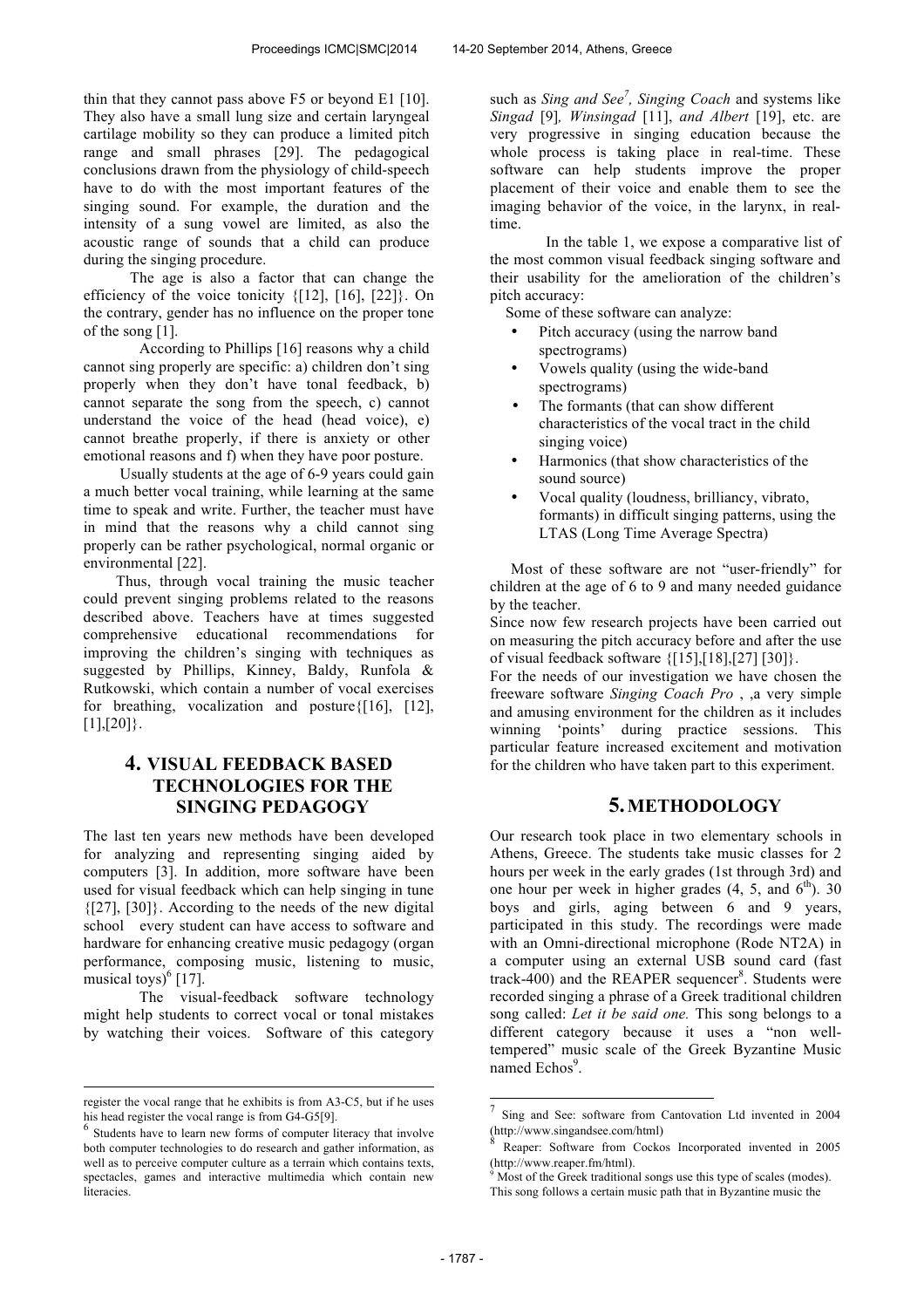thin that they cannot pass above F5 or beyond E1 [10]. They also have a small lung size and certain laryngeal cartilage mobility so they can produce a limited pitch range and small phrases [29]. Τhe pedagogical conclusions drawn from the physiology of child-speech have to do with the most important features of the singing sound. For example, the duration and the intensity of a sung vowel are limited, as also the acoustic range of sounds that a child can produce during the singing procedure.

 The age is also a factor that can change the efficiency of the voice tonicity  $\{[12], [16], [22]\}$ . On the contrary, gender has no influence on the proper tone of the song [1].

According to Phillips [16] reasons why a child cannot sing properly are specific: a) children don't sing properly when they don't have tonal feedback, b) cannot separate the song from the speech, c) cannot understand the voice of the head (head voice), e) cannot breathe properly, if there is anxiety or other emotional reasons and f) when they have poor posture.

Usually students at the age of 6-9 years could gain a much better vocal training, while learning at the same time to speak and write. Further, the teacher must have in mind that the reasons why a child cannot sing properly can be rather psychological, normal organic or environmental [22].

Thus, through vocal training the music teacher could prevent singing problems related to the reasons described above. Teachers have at times suggested comprehensive educational recommendations for improving the children's singing with techniques as suggested by Phillips, Kinney, Baldy, Runfola & Rutkowski, which contain a number of vocal exercises for breathing, vocalization and posture{[16], [12],  $[1],[20]$ .

# **4. VISUAL FEEDBACK BASED TECHNOLOGIES FOR THE SINGING PEDAGOGY**

The last ten years new methods have been developed for analyzing and representing singing aided by computers [3]. In addition, more software have been used for visual feedback which can help singing in tune  $\{[27], [30]\}$ . According to the needs of the new digital school every student can have access to software and hardware for enhancing creative music pedagogy (organ performance, composing music, listening to music, musical toys) $<sup>6</sup>$  [17].</sup>

The visual-feedback software technology might help students to correct vocal or tonal mistakes by watching their voices. Software of this category

 $\overline{a}$ 

such as *Sing and See<sup>7</sup> , Singing Coach* and systems like *Singad* [9]*, Winsingad* [11], *and Albert* [19], etc. are very progressive in singing education because the whole process is taking place in real-time. These software can help students improve the proper placement of their voice and enable them to see the imaging behavior of the voice, in the larynx, in realtime.

In the table 1, we expose a comparative list of the most common visual feedback singing software and their usability for the amelioration of the children's pitch accuracy:

Some of these software can analyze:

- Pitch accuracy (using the narrow band spectrograms)
- Vowels quality (using the wide-band spectrograms)
- The formants (that can show different characteristics of the vocal tract in the child singing voice)
- Harmonics (that show characteristics of the sound source)
- Vocal quality (loudness, brilliancy, vibrato, formants) in difficult singing patterns, using the LTAS (Long Time Average Spectra)

Most of these software are not "user-friendly" for children at the age of 6 to 9 and many needed guidance by the teacher.

Since now few research projects have been carried out on measuring the pitch accuracy before and after the use of visual feedback software {[15],[18],[27] [30]}.

For the needs of our investigation we have chosen the freeware software *Singing Coach Pro* , ,a very simple and amusing environment for the children as it includes winning 'points' during practice sessions. This particular feature increased excitement and motivation for the children who have taken part to this experiment.

# **5.METHODOLOGY**

Our research took place in two elementary schools in Athens, Greece. The students take music classes for 2 hours per week in the early grades (1st through 3rd) and one hour per week in higher grades  $(4, 5, \text{ and } 6^{\text{th}})$ . 30 boys and girls, aging between 6 and 9 years, participated in this study. The recordings were made with an Omni-directional microphone (Rode NT2A) in a computer using an external USB sound card (fast track-400) and the REAPER sequencer<sup>8</sup>. Students were recorded singing a phrase of a Greek traditional children song called: *Let it be said one.* This song belongs to a different category because it uses a "non welltempered" music scale of the Greek Byzantine Music named Echos<sup>9</sup>.

j

register the vocal range that he exhibits is from A3-C5, but if he uses his head register the vocal range is from G4-G5[9].

<sup>6</sup> Students have to learn new forms of computer literacy that involve both computer technologies to do research and gather information, as well as to perceive computer culture as a terrain which contains texts, spectacles, games and interactive multimedia which contain new **literacies** 

<sup>7</sup> Sing and See: software from Cantovation Ltd invented in 2004 (http://www.singandsee.com/html)

<sup>8</sup> Reaper: Software from Cockos Incorporated invented in 2005 (http://www.reaper.fm/html).

Most of the Greek traditional songs use this type of scales (modes).

This song follows a certain music path that in Byzantine music the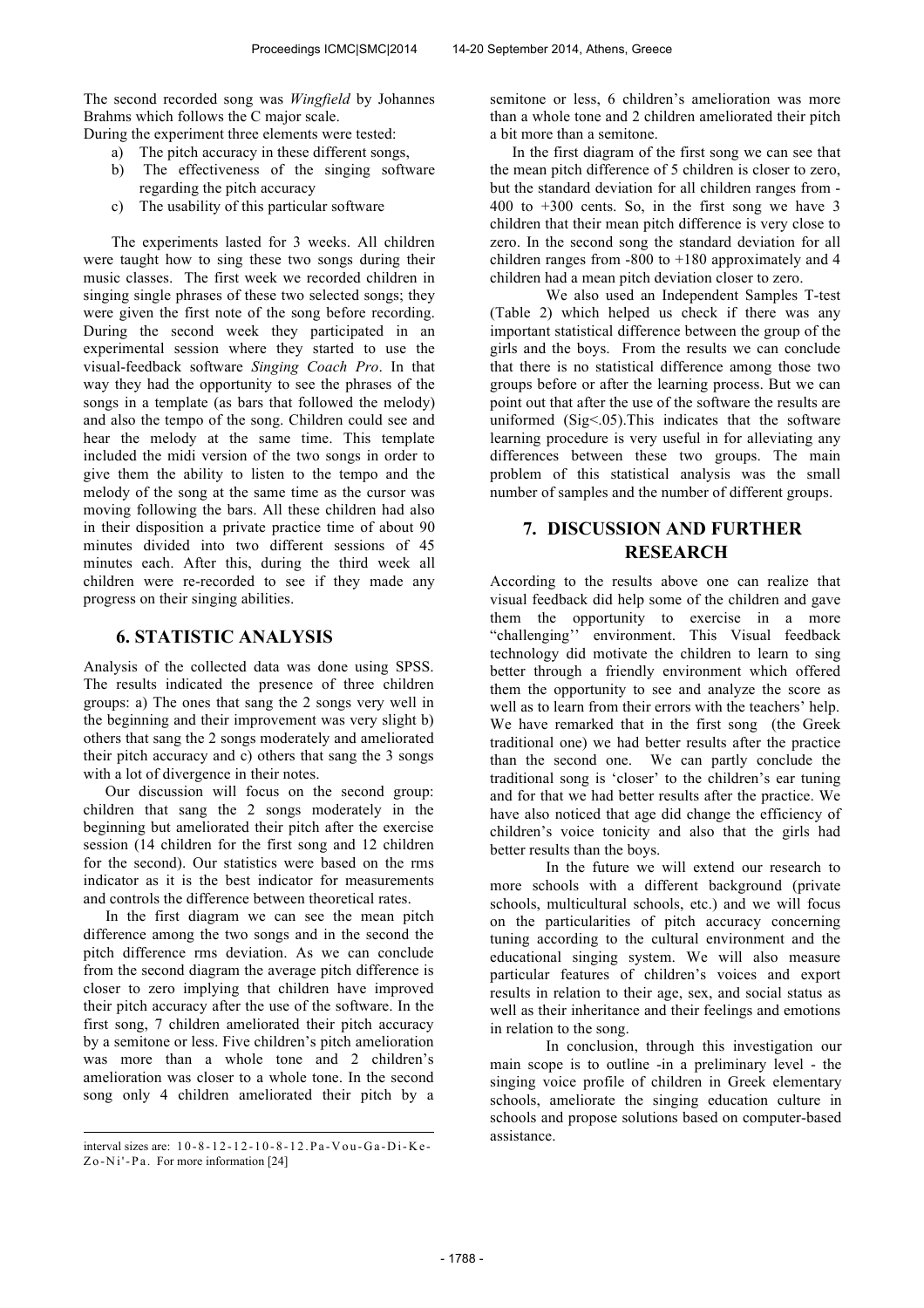The second recorded song was *Wingfield* by Johannes Brahms which follows the C major scale.

During the experiment three elements were tested:

- a) The pitch accuracy in these different songs,
- b) The effectiveness of the singing software regarding the pitch accuracy
- c) The usability of this particular software

The experiments lasted for 3 weeks. All children were taught how to sing these two songs during their music classes. The first week we recorded children in singing single phrases of these two selected songs; they were given the first note of the song before recording. During the second week they participated in an experimental session where they started to use the visual-feedback software *Singing Coach Pro*. In that way they had the opportunity to see the phrases of the songs in a template (as bars that followed the melody) and also the tempo of the song. Children could see and hear the melody at the same time. This template included the midi version of the two songs in order to give them the ability to listen to the tempo and the melody of the song at the same time as the cursor was moving following the bars. All these children had also in their disposition a private practice time of about 90 minutes divided into two different sessions of 45 minutes each. After this, during the third week all children were re-recorded to see if they made any progress on their singing abilities.

### **6. STATISTIC ANALYSIS**

Analysis of the collected data was done using SPSS. The results indicated the presence of three children groups: a) The ones that sang the 2 songs very well in the beginning and their improvement was very slight b) others that sang the 2 songs moderately and ameliorated their pitch accuracy and c) others that sang the 3 songs with a lot of divergence in their notes.

Our discussion will focus on the second group: children that sang the 2 songs moderately in the beginning but ameliorated their pitch after the exercise session (14 children for the first song and 12 children for the second). Our statistics were based on the rms indicator as it is the best indicator for measurements and controls the difference between theoretical rates.

In the first diagram we can see the mean pitch difference among the two songs and in the second the pitch difference rms deviation. As we can conclude from the second diagram the average pitch difference is closer to zero implying that children have improved their pitch accuracy after the use of the software. In the first song, 7 children ameliorated their pitch accuracy by a semitone or less. Five children's pitch amelioration was more than a whole tone and 2 children's amelioration was closer to a whole tone. In the second song only 4 children ameliorated their pitch by a

 $\overline{a}$ 

semitone or less, 6 children's amelioration was more than a whole tone and 2 children ameliorated their pitch a bit more than a semitone.

In the first diagram of the first song we can see that the mean pitch difference of 5 children is closer to zero, but the standard deviation for all children ranges from - 400 to +300 cents. So, in the first song we have 3 children that their mean pitch difference is very close to zero. In the second song the standard deviation for all children ranges from  $-800$  to  $+180$  approximately and 4 children had a mean pitch deviation closer to zero.

We also used an Independent Samples T-test (Table 2) which helped us check if there was any important statistical difference between the group of the girls and the boys. From the results we can conclude that there is no statistical difference among those two groups before or after the learning process. But we can point out that after the use of the software the results are uniformed (Sig<.05).This indicates that the software learning procedure is very useful in for alleviating any differences between these two groups. The main problem of this statistical analysis was the small number of samples and the number of different groups.

# **7. DISCUSSION AND FURTHER RESEARCH**

According to the results above one can realize that visual feedback did help some of the children and gave them the opportunity to exercise in a more "challenging'' environment. This Visual feedback technology did motivate the children to learn to sing better through a friendly environment which offered them the opportunity to see and analyze the score as well as to learn from their errors with the teachers' help. We have remarked that in the first song (the Greek traditional one) we had better results after the practice than the second one. We can partly conclude the traditional song is 'closer' to the children's ear tuning and for that we had better results after the practice. We have also noticed that age did change the efficiency of children's voice tonicity and also that the girls had better results than the boys.

In the future we will extend our research to more schools with a different background (private schools, multicultural schools, etc.) and we will focus on the particularities of pitch accuracy concerning tuning according to the cultural environment and the educational singing system. We will also measure particular features of children's voices and export results in relation to their age, sex, and social status as well as their inheritance and their feelings and emotions in relation to the song.

In conclusion, through this investigation our main scope is to outline -in a preliminary level - the singing voice profile of children in Greek elementary schools, ameliorate the singing education culture in schools and propose solutions based on computer-based assistance.

interval sizes are: 1 0 - 8 - 1 2 - 1 2 - 1 0 - 8 - 12.P a -Vou -G a -D i-K e - Z o -Ni'-Pa. For more information [24]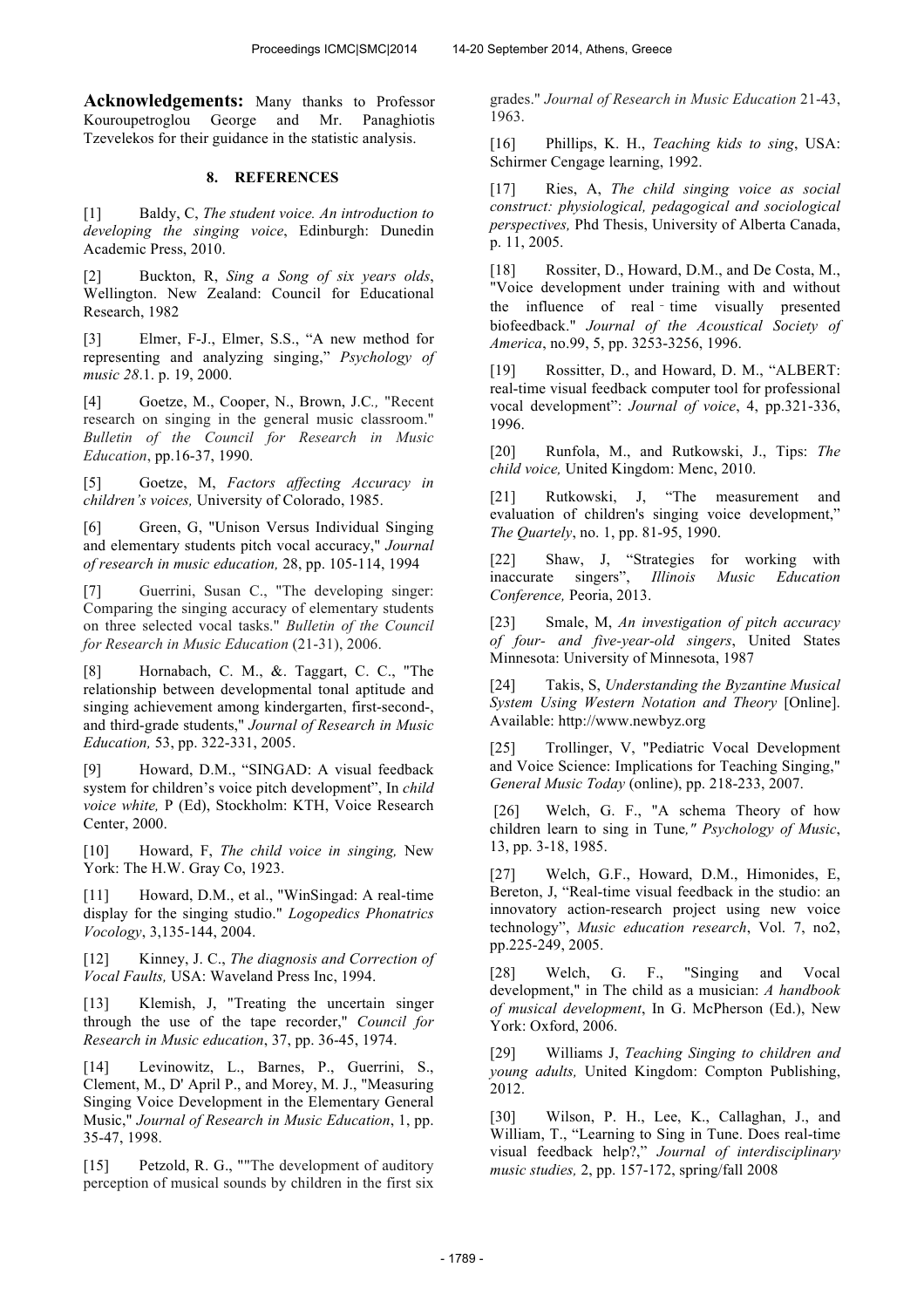**Acknowledgements:** Many thanks to Professor Kouroupetroglou George and Mr. Panaghiotis Tzevelekos for their guidance in the statistic analysis.

### **8. REFERENCES**

[1] Baldy, C, *The student voice. An introduction to developing the singing voice*, Edinburgh: Dunedin Academic Press, 2010.

[2] Buckton, R, *Sing a Song of six years olds*, Wellington. New Zealand: Council for Educational Research, 1982

[3] Elmer, F-J., Elmer, S.S., "A new method for representing and analyzing singing," *Psychology of music 28*.1. p. 19, 2000.

[4] Goetze, M., Cooper, N., Brown, J.C*.,* "Recent research on singing in the general music classroom." *Bulletin of the Council for Research in Music Education*, pp.16-37, 1990.

[5] Goetze, M, *Factors affecting Accuracy in children's voices,* University of Colorado, 1985.

[6] Green, G, "Unison Versus Individual Singing and elementary students pitch vocal accuracy," *Journal of research in music education,* 28, pp. 105-114, 1994

[7] Guerrini, Susan C., "The developing singer: Comparing the singing accuracy of elementary students on three selected vocal tasks." *Bulletin of the Council for Research in Music Education* (21-31), 2006.

[8] Hornabach, C. M., &. Taggart, C. C., "The relationship between developmental tonal aptitude and singing achievement among kindergarten, first-second-, and third-grade students," *Journal of Research in Music Education,* 53, pp. 322-331, 2005.

[9] Howard, D.M., "SINGAD: A visual feedback system for children's voice pitch development", In *child voice white,* P (Ed), Stockholm: KTH, Voice Research Center, 2000.

[10] Howard, F, *The child voice in singing,* New York: The H.W. Gray Co, 1923.

[11] Howard, D.M., et al., "WinSingad: A real-time display for the singing studio." *Logopedics Phonatrics Vocology*, 3,135-144, 2004.

[12] Kinney, J. C., *The diagnosis and Correction of Vocal Faults,* USA: Waveland Press Inc, 1994.

[13] Klemish, J, "Treating the uncertain singer through the use of the tape recorder," *Council for Research in Music education*, 37, pp. 36-45, 1974.

[14] Levinowitz, L., Barnes, P., Guerrini, S., Clement, M., D' April P., and Morey, M. J., "Measuring Singing Voice Development in the Elementary General Music," *Journal of Research in Music Education*, 1, pp. 35-47, 1998.

[15] Petzold, R. G., ""The development of auditory perception of musical sounds by children in the first six grades." *Journal of Research in Music Education* 21-43, 1963.

[16] Phillips, K. H., *Teaching kids to sing*, USA: Schirmer Cengage learning, 1992.

[17] Ries, A, *The child singing voice as social construct: physiological, pedagogical and sociological perspectives,* Phd Thesis, University of Alberta Canada, p. 11, 2005.

[18] Rossiter, D., Howard, D.M., and De Costa, M., "Voice development under training with and without the influence of real-time visually presented biofeedback." *Journal of the Acoustical Society of America*, no.99, 5, pp. 3253-3256, 1996.

[19] Rossitter, D., and Howard, D. M., "ALBERT: real-time visual feedback computer tool for professional vocal development": *Journal of voice*, 4, pp.321-336, 1996.

[20] Runfola, M., and Rutkowski, J., Tips: *The child voice,* United Kingdom: Menc, 2010.

[21] Rutkowski, J, "The measurement and evaluation of children's singing voice development," *The Quartely*, no. 1, pp. 81-95, 1990.

[22] Shaw, J, "Strategies for working with inaccurate singers", *Illinois Music Education Conference,* Peoria, 2013.

[23] Smale, M, *An investigation of pitch accuracy of four- and five-year-old singers*, United States Minnesota: University of Minnesota, 1987

[24] Takis, S, *Understanding the Byzantine Musical System Using Western Notation and Theory* [Online]. Available: http://www.newbyz.org

[25] Trollinger, V, "Pediatric Vocal Development and Voice Science: Implications for Teaching Singing," *General Music Today* (online), pp. 218-233, 2007.

[26] Welch, G. F., "A schema Theory of how children learn to sing in Tune*," Psychology of Music*, 13, pp. 3-18, 1985.

[27] Welch, G.F., Howard, D.M., Himonides, E, Bereton, J, "Real-time visual feedback in the studio: an innovatory action-research project using new voice technology", *Music education research*, Vol. 7, no2, pp.225-249, 2005.

Welch, G. F., "Singing and Vocal development," in The child as a musician: *A handbook of musical development*, In G. McPherson (Ed.), New York: Oxford, 2006.

[29] Williams J, *Teaching Singing to children and young adults,* United Kingdom: Compton Publishing, 2012.

[30] Wilson, P. H., Lee, K., Callaghan, J., and William, T., "Learning to Sing in Tune. Does real-time visual feedback help?," *Journal of interdisciplinary music studies,* 2, pp. 157-172, spring/fall 2008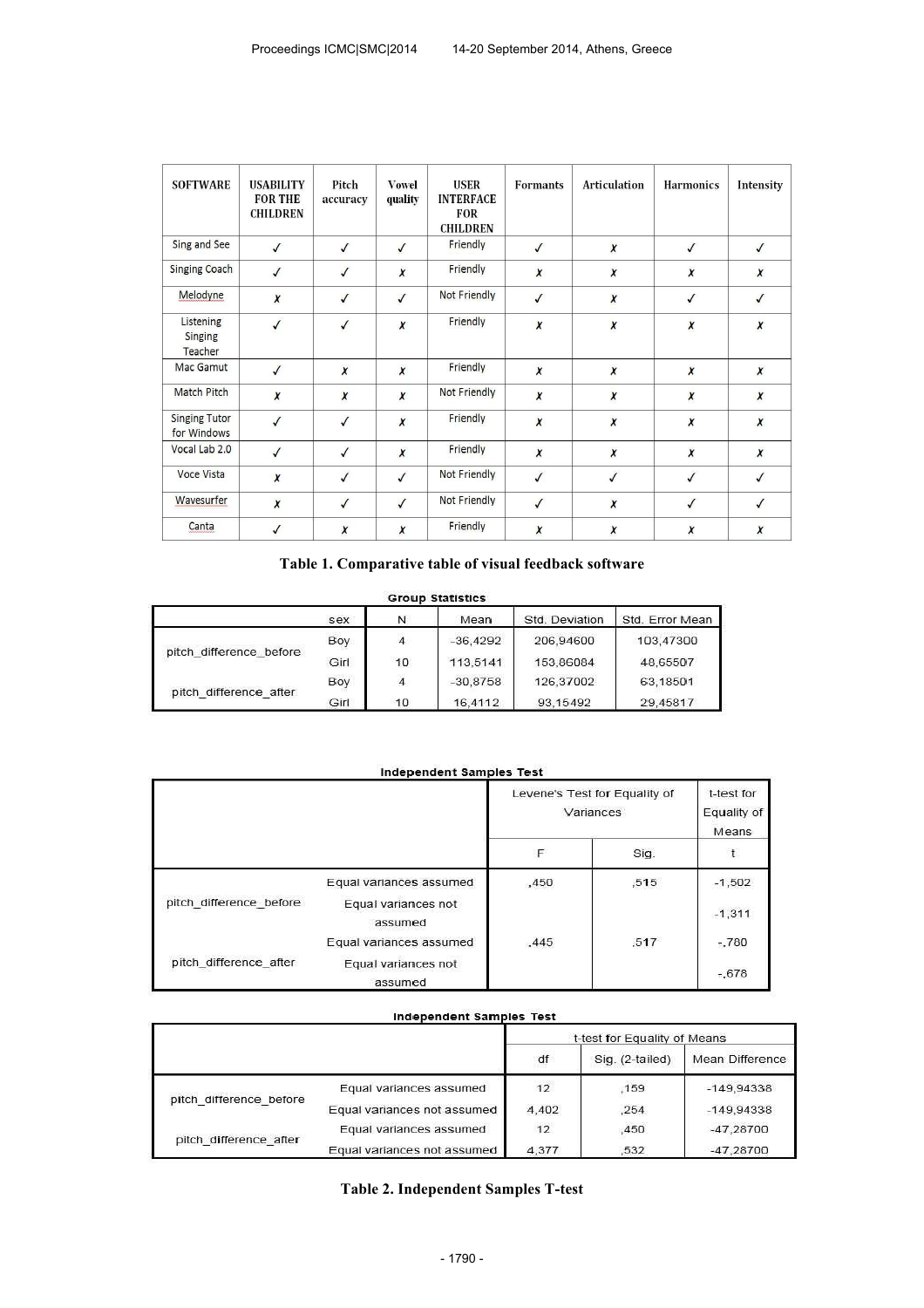| <b>SOFTWARE</b>                     | <b>USABILITY</b><br><b>FOR THE</b><br><b>CHILDREN</b> | Pitch<br>accuracy | <b>Vowel</b><br>quality | <b>USER</b><br><b>INTERFACE</b><br><b>FOR</b><br><b>CHILDREN</b> | <b>Formants</b>  | <b>Articulation</b> | <b>Harmonics</b>    | Intensity        |
|-------------------------------------|-------------------------------------------------------|-------------------|-------------------------|------------------------------------------------------------------|------------------|---------------------|---------------------|------------------|
| Sing and See                        | $\sqrt{ }$                                            | $\sqrt{ }$        | $\checkmark$            | Friendly                                                         | $\checkmark$     | $\boldsymbol{x}$    | $\checkmark$        | $\sqrt{ }$       |
| <b>Singing Coach</b>                | $\sqrt{ }$                                            | $\sqrt{2}$        | $\boldsymbol{x}$        | Friendly                                                         | $\boldsymbol{x}$ | $\boldsymbol{\chi}$ | $\boldsymbol{\chi}$ | $\boldsymbol{x}$ |
| Melodyne                            | $\boldsymbol{x}$                                      | $\checkmark$      | $\checkmark$            | <b>Not Friendly</b>                                              | $\checkmark$     | $\boldsymbol{\chi}$ | $\checkmark$        | $\sqrt{ }$       |
| Listening<br>Singing<br>Teacher     | $\checkmark$                                          | $\checkmark$      | X                       | Friendly                                                         | $\pmb{\chi}$     | $\boldsymbol{x}$    | $\pmb{\chi}$        | $\boldsymbol{x}$ |
| Mac Gamut                           | $\sqrt{ }$                                            | $\boldsymbol{x}$  | $\boldsymbol{x}$        | Friendly                                                         | $\boldsymbol{x}$ | $\boldsymbol{x}$    | $\boldsymbol{x}$    | $\boldsymbol{x}$ |
| <b>Match Pitch</b>                  | $\pmb{\chi}$                                          | $\pmb{\chi}$      | X                       | Not Friendly                                                     | X                | $\pmb{\chi}$        | $\pmb{\chi}$        | $\boldsymbol{x}$ |
| <b>Singing Tutor</b><br>for Windows | $\sqrt{ }$                                            | $\sqrt{2}$        | $\boldsymbol{x}$        | Friendly                                                         | $\boldsymbol{x}$ | $\boldsymbol{x}$    | $\boldsymbol{x}$    | $\boldsymbol{x}$ |
| Vocal Lab 2.0                       | $\sqrt{ }$                                            | $\checkmark$      | $\boldsymbol{x}$        | Friendly                                                         | $\boldsymbol{x}$ | $\boldsymbol{x}$    | $\boldsymbol{\chi}$ | $\boldsymbol{x}$ |
| Voce Vista                          | $\boldsymbol{x}$                                      | $\sqrt{ }$        | $\checkmark$            | Not Friendly                                                     | $\sqrt{ }$       | $\checkmark$        | $\checkmark$        | $\sqrt{2}$       |
| Wavesurfer                          | $\boldsymbol{x}$                                      | $\checkmark$      | $\checkmark$            | <b>Not Friendly</b>                                              | $\sqrt{ }$       | $\boldsymbol{x}$    | $\checkmark$        | $\sqrt{2}$       |
| Canta                               | $\checkmark$                                          | $\boldsymbol{x}$  | $\boldsymbol{x}$        | Friendly                                                         | X                | $\pmb{\chi}$        | $\chi$              | $\boldsymbol{x}$ |

## **Table 1. Comparative table of visual feedback software**

#### **Group Statistics**

|                         | sex  | N              | Mean       | Std. Deviation | Std. Error Mean |
|-------------------------|------|----------------|------------|----------------|-----------------|
|                         | Boy  |                | $-36.4292$ | 206 94600      | 103.47300       |
| pitch difference before | Girl | 10             | 113.5141   | 153,86084      | 48,65507        |
|                         | Boy  | $\overline{4}$ | $-30.8758$ | 126.37002      | 63.18501        |
| pitch difference after  | Girl | 10             | 16.4112    | 93.15492       | 29.45817        |

#### **Independent Samples Test**

|                         |                                | Levene's Test for Equality of<br>Variances |      | t-test for<br>Equality of<br>Means |
|-------------------------|--------------------------------|--------------------------------------------|------|------------------------------------|
|                         |                                | F                                          | Sig. | $\mathbf{t}$                       |
| pitch difference before | Equal variances assumed        | ,450                                       | .515 | $-1,502$                           |
|                         | Equal variances not<br>assumed |                                            |      | $-1,311$                           |
| pitch difference after  | Equal variances assumed        | ,445                                       | ,517 | $-780$                             |
|                         | Equal variances not<br>assumed |                                            |      | $-0.678$                           |

### **Independent Samples Test**

|                         |                             | t-test for Equality of Means |                 |                 |  |
|-------------------------|-----------------------------|------------------------------|-----------------|-----------------|--|
|                         |                             | df                           | Sig. (2-tailed) | Mean Difference |  |
|                         | Equal variances assumed     | 12                           | .159            | $-149.94338$    |  |
| pitch difference before | Equal variances not assumed | 4.402                        | .254            | $-149.94338$    |  |
|                         | Equal variances assumed     | 12                           | 450             | $-47.28700$     |  |
| pitch difference after  | Equal variances not assumed | 4,377                        | .532            | $-47.28700$     |  |

## **Table 2. Independent Samples T-test**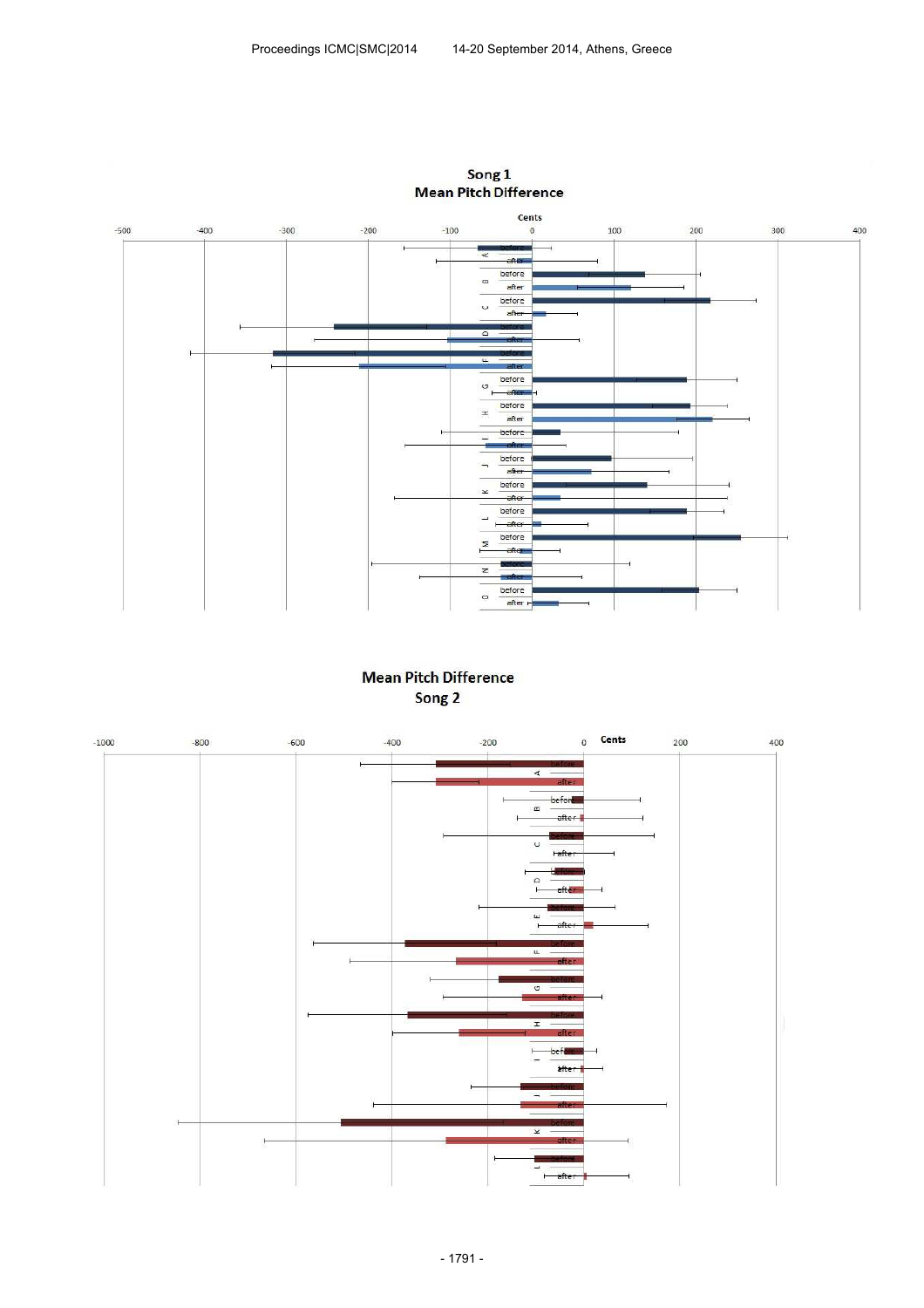

Song 1<br>Mean Pitch Difference

# **Mean Pitch Difference** Song<sub>2</sub>